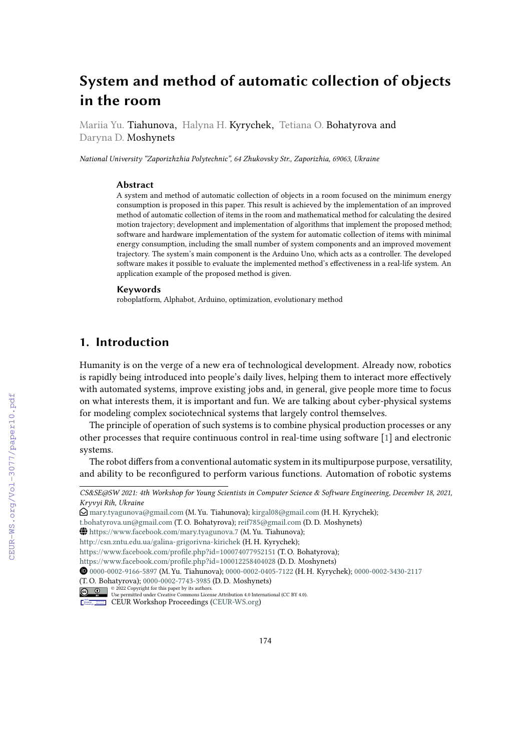# **System and method of automatic collection of objects in the room**

Mariia Yu. Tiahunova, Halyna H. Kyrychek, Tetiana O. Bohatyrova and Daryna D. Moshynets

*National University "Zaporizhzhia Polytechnic", 64 Zhukovsky Str., Zaporizhia, 69063, Ukraine*

#### **Abstract**

A system and method of automatic collection of objects in a room focused on the minimum energy consumption is proposed in this paper. This result is achieved by the implementation of an improved method of automatic collection of items in the room and mathematical method for calculating the desired motion trajectory; development and implementation of algorithms that implement the proposed method; software and hardware implementation of the system for automatic collection of items with minimal energy consumption, including the small number of system components and an improved movement trajectory. The system's main component is the Arduino Uno, which acts as a controller. The developed software makes it possible to evaluate the implemented method's effectiveness in a real-life system. An application example of the proposed method is given.

#### **Keywords**

roboplatform, Alphabot, Arduino, optimization, evolutionary method

### **1. Introduction**

Humanity is on the verge of a new era of technological development. Already now, robotics is rapidly being introduced into people's daily lives, helping them to interact more effectively with automated systems, improve existing jobs and, in general, give people more time to focus on what interests them, it is important and fun. We are talking about cyber-physical systems for modeling complex sociotechnical systems that largely control themselves.

The principle of operation of such systems is to combine physical production processes or any other processes that require continuous control in real-time using software [\[1\]](#page--1-0) and electronic systems.

The robot differs from a conventional automatic system in its multipurpose purpose, versatility, and ability to be reconfigured to perform various functions. Automation of robotic systems

*Kryvyi Rih, Ukraine CS&SE@SW 2021: 4th Workshop for Young Scientists in Computer Science & Software Engineering, December 18, 2021,*

 $\Theta$  [mary.tyagunova@gmail.com](mailto:mary.tyagunova@gmail.com) (M. Yu. Tiahunova); [kirgal08@gmail.com](mailto:kirgal08@gmail.com) (H. H. Kyrychek);

[t.bohatyrova.un@gmail.com](mailto:t.bohatyrova.un@gmail.com) (T. O. Bohatyrova); [reif785@gmail.com](mailto:reif785@gmail.com) (D. D. Moshynets)

<sup>~</sup> <https://www.facebook.com/mary.tyagunova.7> (M. Yu. Tiahunova);

<http://csn.zntu.edu.ua/galina-grigorivna-kirichek> (H. H. Kyrychek);

<https://www.facebook.com/profile.php?id=100074077952151> (T. O. Bohatyrova);

<https://www.facebook.com/profile.php?id=100012258404028> (D. D. Moshynets)

[0000-0002-9166-5897](https://orcid.org/0000-0002-9166-5897) (M. Yu. Tiahunova); [0000-0002-0405-7122](https://orcid.org/0000-0002-0405-7122) (H. H. Kyrychek); [0000-0002-3430-2117](https://orcid.org/0000-0002-3430-2117) (T. O. Bohatyrova); [0000-0002-7743-3985](https://orcid.org/0000-0002-7743-3985) (D. D. Moshynets)

<sup>©</sup> 2022 Copyright for this paper by its authors. Use permitted under Creative Commons License Attribution 4.0 International (CC BY 4.0).

CEUR Workshop [Proceedings](http://ceur-ws.org) [\(CEUR-WS.org\)](http://ceur-ws.org)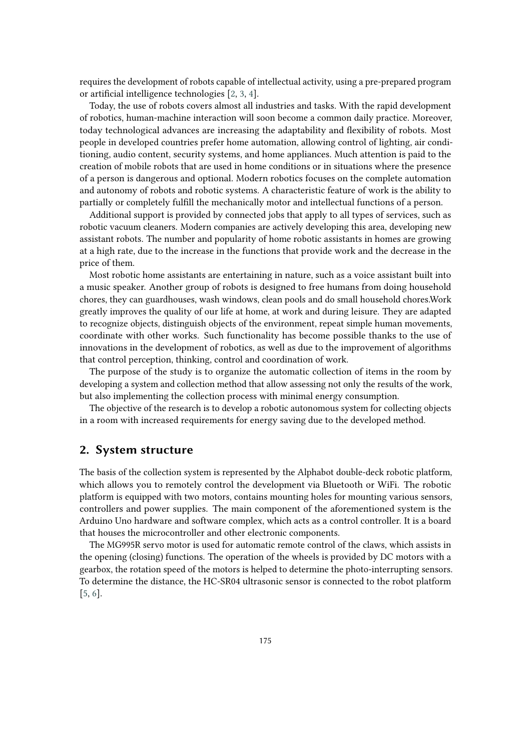requires the development of robots capable of intellectual activity, using a pre-prepared program or artificial intelligence technologies [\[2,](#page-12-0) [3,](#page-12-1) [4\]](#page-12-2).

Today, the use of robots covers almost all industries and tasks. With the rapid development of robotics, human-machine interaction will soon become a common daily practice. Moreover, today technological advances are increasing the adaptability and flexibility of robots. Most people in developed countries prefer home automation, allowing control of lighting, air conditioning, audio content, security systems, and home appliances. Much attention is paid to the creation of mobile robots that are used in home conditions or in situations where the presence of a person is dangerous and optional. Modern robotics focuses on the complete automation and autonomy of robots and robotic systems. A characteristic feature of work is the ability to partially or completely fulfill the mechanically motor and intellectual functions of a person.

Additional support is provided by connected jobs that apply to all types of services, such as robotic vacuum cleaners. Modern companies are actively developing this area, developing new assistant robots. The number and popularity of home robotic assistants in homes are growing at a high rate, due to the increase in the functions that provide work and the decrease in the price of them.

Most robotic home assistants are entertaining in nature, such as a voice assistant built into a music speaker. Another group of robots is designed to free humans from doing household chores, they can guardhouses, wash windows, clean pools and do small household chores.Work greatly improves the quality of our life at home, at work and during leisure. They are adapted to recognize objects, distinguish objects of the environment, repeat simple human movements, coordinate with other works. Such functionality has become possible thanks to the use of innovations in the development of robotics, as well as due to the improvement of algorithms that control perception, thinking, control and coordination of work.

The purpose of the study is to organize the automatic collection of items in the room by developing a system and collection method that allow assessing not only the results of the work, but also implementing the collection process with minimal energy consumption.

The objective of the research is to develop a robotic autonomous system for collecting objects in a room with increased requirements for energy saving due to the developed method.

#### **2. System structure**

The basis of the collection system is represented by the Alphabot double-deck robotic platform, which allows you to remotely control the development via Bluetooth or WiFi. The robotic platform is equipped with two motors, contains mounting holes for mounting various sensors, controllers and power supplies. The main component of the aforementioned system is the Arduino Uno hardware and software complex, which acts as a control controller. It is a board that houses the microcontroller and other electronic components.

The MG995R servo motor is used for automatic remote control of the claws, which assists in the opening (closing) functions. The operation of the wheels is provided by DC motors with a gearbox, the rotation speed of the motors is helped to determine the photo-interrupting sensors. To determine the distance, the HC-SR04 ultrasonic sensor is connected to the robot platform [\[5,](#page-12-3) [6\]](#page-12-4).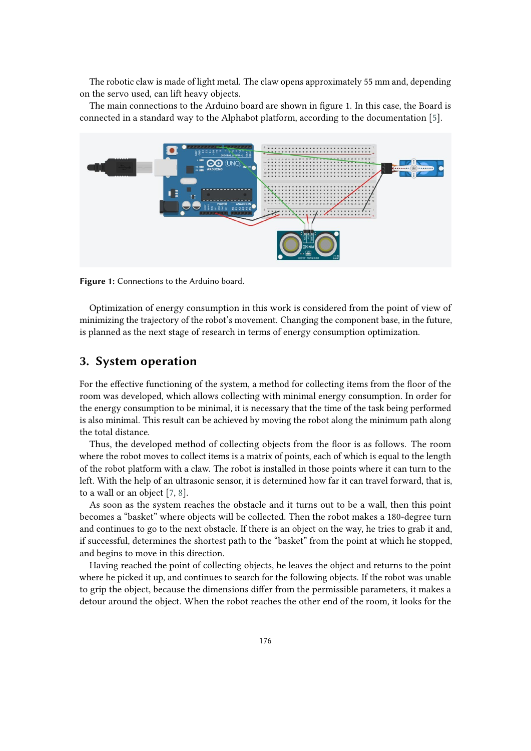The robotic claw is made of light metal. The claw opens approximately 55 mm and, depending on the servo used, can lift heavy objects.

The main connections to the Arduino board are shown in figure 1. In this case, the Board is connected in a standard way to the Alphabot platform, according to the documentation [\[5\]](#page-12-3).



**Figure 1:** Connections to the Arduino board.

Optimization of energy consumption in this work is considered from the point of view of minimizing the trajectory of the robot's movement. Changing the component base, in the future, is planned as the next stage of research in terms of energy consumption optimization.

#### **3. System operation**

For the effective functioning of the system, a method for collecting items from the floor of the room was developed, which allows collecting with minimal energy consumption. In order for the energy consumption to be minimal, it is necessary that the time of the task being performed is also minimal. This result can be achieved by moving the robot along the minimum path along the total distance.

Thus, the developed method of collecting objects from the floor is as follows. The room where the robot moves to collect items is a matrix of points, each of which is equal to the length of the robot platform with a claw. The robot is installed in those points where it can turn to the left. With the help of an ultrasonic sensor, it is determined how far it can travel forward, that is, to a wall or an object [\[7,](#page-12-5) [8\]](#page-12-6).

As soon as the system reaches the obstacle and it turns out to be a wall, then this point becomes a "basket" where objects will be collected. Then the robot makes a 180-degree turn and continues to go to the next obstacle. If there is an object on the way, he tries to grab it and, if successful, determines the shortest path to the "basket" from the point at which he stopped, and begins to move in this direction.

Having reached the point of collecting objects, he leaves the object and returns to the point where he picked it up, and continues to search for the following objects. If the robot was unable to grip the object, because the dimensions differ from the permissible parameters, it makes a detour around the object. When the robot reaches the other end of the room, it looks for the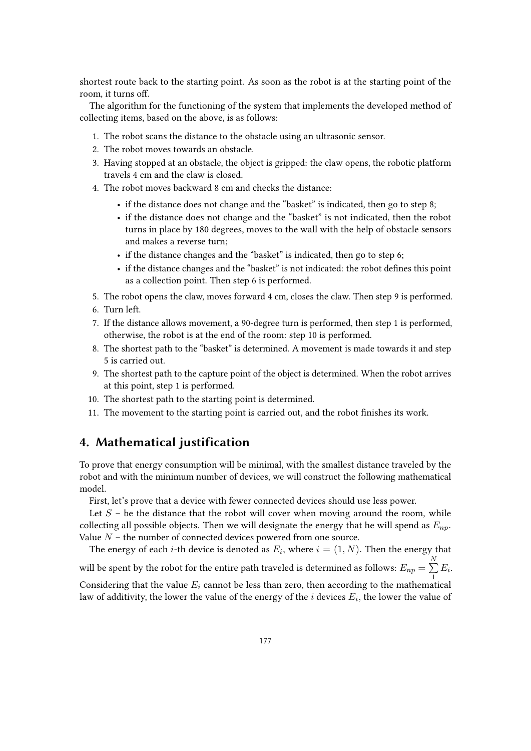shortest route back to the starting point. As soon as the robot is at the starting point of the room, it turns off.

The algorithm for the functioning of the system that implements the developed method of collecting items, based on the above, is as follows:

- 1. The robot scans the distance to the obstacle using an ultrasonic sensor.
- 2. The robot moves towards an obstacle.
- 3. Having stopped at an obstacle, the object is gripped: the claw opens, the robotic platform travels 4 cm and the claw is closed.
- 4. The robot moves backward 8 cm and checks the distance:
	- if the distance does not change and the "basket" is indicated, then go to step 8;
	- if the distance does not change and the "basket" is not indicated, then the robot turns in place by 180 degrees, moves to the wall with the help of obstacle sensors and makes a reverse turn;
	- if the distance changes and the "basket" is indicated, then go to step 6;
	- if the distance changes and the "basket" is not indicated: the robot defines this point as a collection point. Then step 6 is performed.
- 5. The robot opens the claw, moves forward 4 cm, closes the claw. Then step 9 is performed.
- 6. Turn left.
- 7. If the distance allows movement, a 90-degree turn is performed, then step 1 is performed, otherwise, the robot is at the end of the room: step 10 is performed.
- 8. The shortest path to the "basket" is determined. A movement is made towards it and step 5 is carried out.
- 9. The shortest path to the capture point of the object is determined. When the robot arrives at this point, step 1 is performed.
- 10. The shortest path to the starting point is determined.
- 11. The movement to the starting point is carried out, and the robot finishes its work.

### **4. Mathematical justification**

To prove that energy consumption will be minimal, with the smallest distance traveled by the robot and with the minimum number of devices, we will construct the following mathematical model.

First, let's prove that a device with fewer connected devices should use less power.

Let  $S$  – be the distance that the robot will cover when moving around the room, while collecting all possible objects. Then we will designate the energy that he will spend as  $E_{nn}$ . Value  $N$  – the number of connected devices powered from one source.

The energy of each  $i$ -th device is denoted as  $E_i,$  where  $i=(1,N).$  Then the energy that will be spent by the robot for the entire path traveled is determined as follows:  $E_{np} = \sum^{N}$  $E_i$ .

1 Considering that the value  $E_i$  cannot be less than zero, then according to the mathematical law of additivity, the lower the value of the energy of the  $i$  devices  $E_i,$  the lower the value of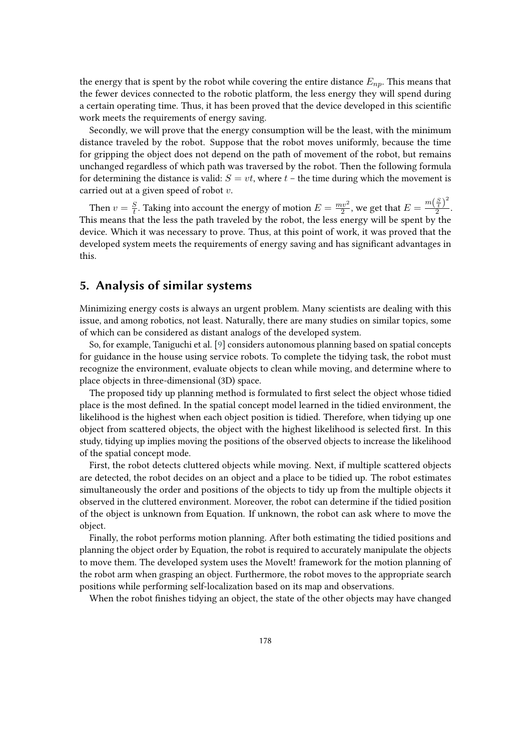the energy that is spent by the robot while covering the entire distance  $E_{np}$ . This means that the fewer devices connected to the robotic platform, the less energy they will spend during a certain operating time. Thus, it has been proved that the device developed in this scientific work meets the requirements of energy saving.

Secondly, we will prove that the energy consumption will be the least, with the minimum distance traveled by the robot. Suppose that the robot moves uniformly, because the time for gripping the object does not depend on the path of movement of the robot, but remains unchanged regardless of which path was traversed by the robot. Then the following formula for determining the distance is valid:  $S = vt$ , where  $t$  – the time during which the movement is carried out at a given speed of robot  $v$ .

Then  $v = \frac{S}{t}$  $\frac{S}{t}.$  Taking into account the energy of motion  $E=\frac{mv^2}{2}$  $\frac{uv^2}{2}$ , we get that  $E = \frac{m\left(\frac{S}{t}\right)^2}{2}$  $rac{t}{2}$ . This means that the less the path traveled by the robot, the less energy will be spent by the device. Which it was necessary to prove. Thus, at this point of work, it was proved that the developed system meets the requirements of energy saving and has significant advantages in this.

#### **5. Analysis of similar systems**

Minimizing energy costs is always an urgent problem. Many scientists are dealing with this issue, and among robotics, not least. Naturally, there are many studies on similar topics, some of which can be considered as distant analogs of the developed system.

So, for example, Taniguchi et al. [\[9\]](#page-12-7) considers autonomous planning based on spatial concepts for guidance in the house using service robots. To complete the tidying task, the robot must recognize the environment, evaluate objects to clean while moving, and determine where to place objects in three-dimensional (3D) space.

The proposed tidy up planning method is formulated to first select the object whose tidied place is the most defined. In the spatial concept model learned in the tidied environment, the likelihood is the highest when each object position is tidied. Therefore, when tidying up one object from scattered objects, the object with the highest likelihood is selected first. In this study, tidying up implies moving the positions of the observed objects to increase the likelihood of the spatial concept mode.

First, the robot detects cluttered objects while moving. Next, if multiple scattered objects are detected, the robot decides on an object and a place to be tidied up. The robot estimates simultaneously the order and positions of the objects to tidy up from the multiple objects it observed in the cluttered environment. Moreover, the robot can determine if the tidied position of the object is unknown from Equation. If unknown, the robot can ask where to move the object.

Finally, the robot performs motion planning. After both estimating the tidied positions and planning the object order by Equation, the robot is required to accurately manipulate the objects to move them. The developed system uses the MoveIt! framework for the motion planning of the robot arm when grasping an object. Furthermore, the robot moves to the appropriate search positions while performing self-localization based on its map and observations.

When the robot finishes tidying an object, the state of the other objects may have changed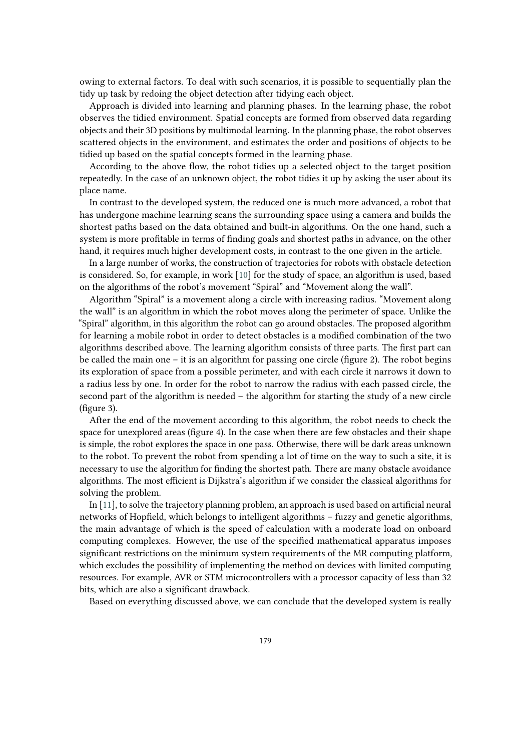owing to external factors. To deal with such scenarios, it is possible to sequentially plan the tidy up task by redoing the object detection after tidying each object.

Approach is divided into learning and planning phases. In the learning phase, the robot observes the tidied environment. Spatial concepts are formed from observed data regarding objects and their 3D positions by multimodal learning. In the planning phase, the robot observes scattered objects in the environment, and estimates the order and positions of objects to be tidied up based on the spatial concepts formed in the learning phase.

According to the above flow, the robot tidies up a selected object to the target position repeatedly. In the case of an unknown object, the robot tidies it up by asking the user about its place name.

In contrast to the developed system, the reduced one is much more advanced, a robot that has undergone machine learning scans the surrounding space using a camera and builds the shortest paths based on the data obtained and built-in algorithms. On the one hand, such a system is more profitable in terms of finding goals and shortest paths in advance, on the other hand, it requires much higher development costs, in contrast to the one given in the article.

In a large number of works, the construction of trajectories for robots with obstacle detection is considered. So, for example, in work [\[10\]](#page-12-8) for the study of space, an algorithm is used, based on the algorithms of the robot's movement "Spiral" and "Movement along the wall".

Algorithm "Spiral" is a movement along a circle with increasing radius. "Movement along the wall" is an algorithm in which the robot moves along the perimeter of space. Unlike the "Spiral" algorithm, in this algorithm the robot can go around obstacles. The proposed algorithm for learning a mobile robot in order to detect obstacles is a modified combination of the two algorithms described above. The learning algorithm consists of three parts. The first part can be called the main one – it is an algorithm for passing one circle (figure 2). The robot begins its exploration of space from a possible perimeter, and with each circle it narrows it down to a radius less by one. In order for the robot to narrow the radius with each passed circle, the second part of the algorithm is needed – the algorithm for starting the study of a new circle (figure 3).

After the end of the movement according to this algorithm, the robot needs to check the space for unexplored areas (figure 4). In the case when there are few obstacles and their shape is simple, the robot explores the space in one pass. Otherwise, there will be dark areas unknown to the robot. To prevent the robot from spending a lot of time on the way to such a site, it is necessary to use the algorithm for finding the shortest path. There are many obstacle avoidance algorithms. The most efficient is Dijkstra's algorithm if we consider the classical algorithms for solving the problem.

In [\[11\]](#page-12-9), to solve the trajectory planning problem, an approach is used based on artificial neural networks of Hopfield, which belongs to intelligent algorithms – fuzzy and genetic algorithms, the main advantage of which is the speed of calculation with a moderate load on onboard computing complexes. However, the use of the specified mathematical apparatus imposes significant restrictions on the minimum system requirements of the MR computing platform, which excludes the possibility of implementing the method on devices with limited computing resources. For example, AVR or STM microcontrollers with a processor capacity of less than 32 bits, which are also a significant drawback.

Based on everything discussed above, we can conclude that the developed system is really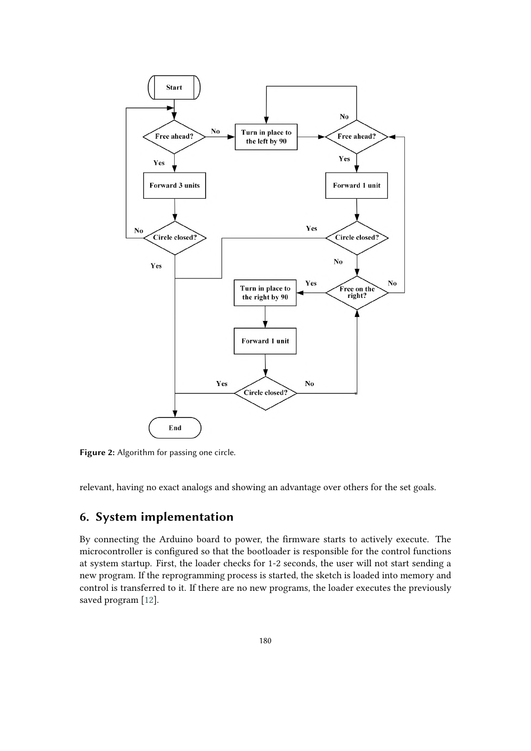

**Figure 2:** Algorithm for passing one circle.

relevant, having no exact analogs and showing an advantage over others for the set goals.

## **6. System implementation**

By connecting the Arduino board to power, the firmware starts to actively execute. The microcontroller is configured so that the bootloader is responsible for the control functions at system startup. First, the loader checks for 1-2 seconds, the user will not start sending a new program. If the reprogramming process is started, the sketch is loaded into memory and control is transferred to it. If there are no new programs, the loader executes the previously saved program [\[12\]](#page-12-10).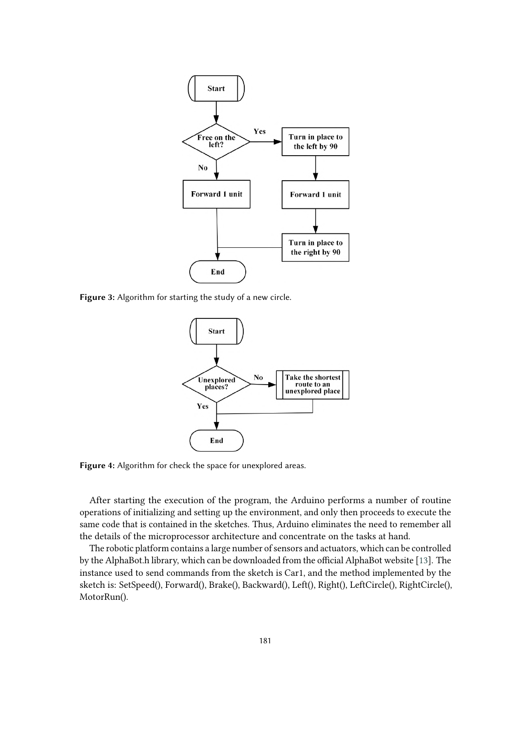

**Figure 3:** Algorithm for starting the study of a new circle.



**Figure 4:** Algorithm for check the space for unexplored areas.

After starting the execution of the program, the Arduino performs a number of routine operations of initializing and setting up the environment, and only then proceeds to execute the same code that is contained in the sketches. Thus, Arduino eliminates the need to remember all the details of the microprocessor architecture and concentrate on the tasks at hand.

The robotic platform contains a large number of sensors and actuators, which can be controlled by the AlphaBot.h library, which can be downloaded from the official AlphaBot website [\[13\]](#page-12-11). The instance used to send commands from the sketch is Car1, and the method implemented by the sketch is: SetSpeed(), Forward(), Brake(), Backward(), Left(), Right(), LeftCircle(), RightCircle(), MotorRun().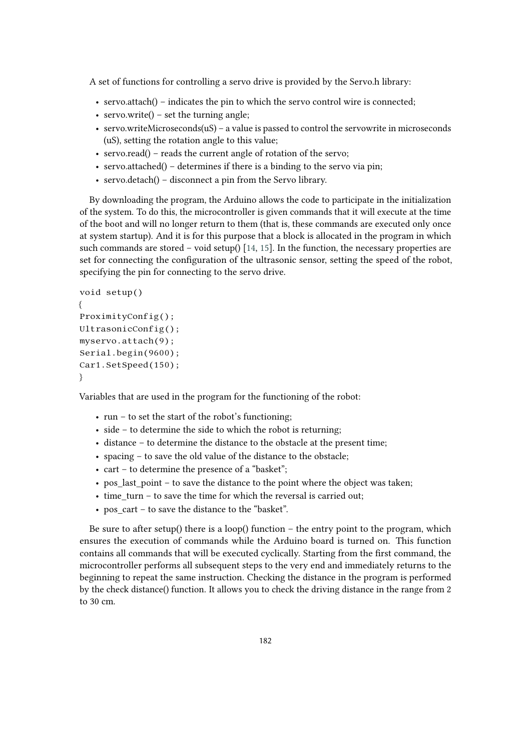A set of functions for controlling a servo drive is provided by the Servo.h library:

- servo.attach() indicates the pin to which the servo control wire is connected;
- servo.write() set the turning angle:
- servo.writeMicroseconds(uS) a value is passed to control the servowrite in microseconds (uS), setting the rotation angle to this value;
- servo.read() reads the current angle of rotation of the servo;
- servo.attached() determines if there is a binding to the servo via pin;
- servo.detach() disconnect a pin from the Servo library.

By downloading the program, the Arduino allows the code to participate in the initialization of the system. To do this, the microcontroller is given commands that it will execute at the time of the boot and will no longer return to them (that is, these commands are executed only once at system startup). And it is for this purpose that a block is allocated in the program in which such commands are stored – void setup() [\[14,](#page-12-12) [15\]](#page-12-13). In the function, the necessary properties are set for connecting the configuration of the ultrasonic sensor, setting the speed of the robot, specifying the pin for connecting to the servo drive.

```
void setup()
{
ProximityConfig();
UltrasonicConfig();
myservo.attach(9);
Serial.begin(9600);
Car1.SetSpeed(150);
}
```
Variables that are used in the program for the functioning of the robot:

- run to set the start of the robot's functioning;
- side to determine the side to which the robot is returning;
- distance to determine the distance to the obstacle at the present time;
- spacing to save the old value of the distance to the obstacle;
- cart to determine the presence of a "basket";
- pos last point to save the distance to the point where the object was taken;
- time turn to save the time for which the reversal is carried out;
- pos cart to save the distance to the "basket".

Be sure to after setup() there is a loop() function – the entry point to the program, which ensures the execution of commands while the Arduino board is turned on. This function contains all commands that will be executed cyclically. Starting from the first command, the microcontroller performs all subsequent steps to the very end and immediately returns to the beginning to repeat the same instruction. Checking the distance in the program is performed by the check distance() function. It allows you to check the driving distance in the range from 2 to 30 cm.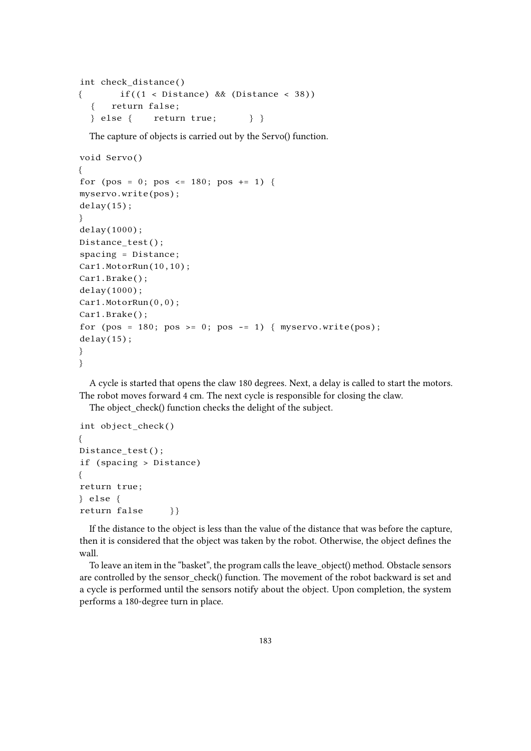```
int check_distance()
{ if((1 <b>Distance</b>) &amp; (Distance <b>38</b>)){ return false;
  \} else { return true; } }
```
The capture of objects is carried out by the Servo() function.

```
void Servo()
{
for (pos = 0; pos <= 180; pos += 1) {
myservo.write(pos);
delay(15);}
delay(1000);
Distance_test();
spacing = Distance;
Car1.MotorRun(10,10);
Car1.Brake();
delay(1000);
Car1.MotorRun(0,0);
Car1.Brake();
for (pos = 180; pos >= 0; pos -= 1) { myservo.write(pos);
delay(15);
}
}
```
A cycle is started that opens the claw 180 degrees. Next, a delay is called to start the motors. The robot moves forward 4 cm. The next cycle is responsible for closing the claw.

The object check() function checks the delight of the subject.

```
int object_check()
{
Distance_test();
if (spacing > Distance)
{
return true;
} else {
return false }}
```
If the distance to the object is less than the value of the distance that was before the capture, then it is considered that the object was taken by the robot. Otherwise, the object defines the wall.

To leave an item in the "basket", the program calls the leave\_object() method. Obstacle sensors are controlled by the sensor check() function. The movement of the robot backward is set and a cycle is performed until the sensors notify about the object. Upon completion, the system performs a 180-degree turn in place.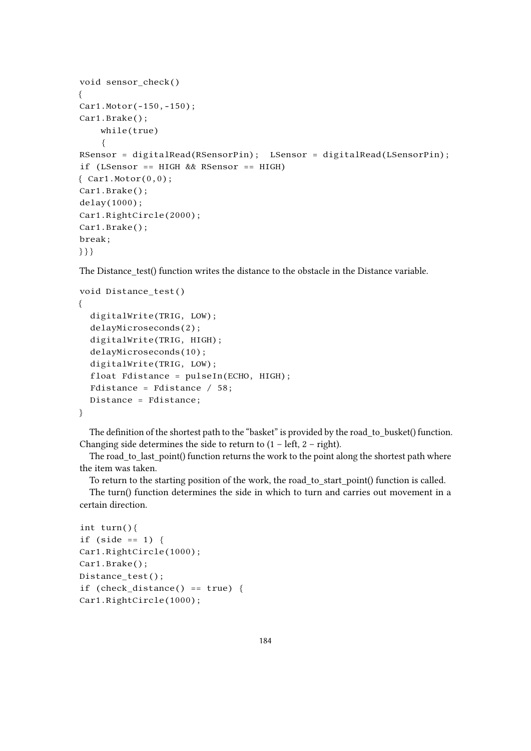```
void sensor_check()
{
Car1.Motor(-150,-150);
Car1.Brake();
    while(true)
    {
RSensor = digitalRead(RSensorPin); LSensor = digitalRead(LSensorPin);
if (LSensor == HIGH && RSensor == HIGH)
\{ \text{Car1.Motor}(0,0);Car1.Brake();
delay(1000);
Car1.RightCircle(2000);
Car1.Brake();
break;
}}}
```
The Distance test() function writes the distance to the obstacle in the Distance variable.

```
void Distance_test()
{
  digitalWrite(TRIG, LOW);
  delayMicroseconds(2);
  digitalWrite(TRIG, HIGH);
  delayMicroseconds(10);
  digitalWrite(TRIG, LOW);
  float Fdistance = pulseIn(ECHO, HIGH);
  Fdistance = Fdistance / 58;
  Distance = Fdistance;
}
```
The definition of the shortest path to the "basket" is provided by the road to busket() function. Changing side determines the side to return to  $(1 - left, 2 - right)$ .

The road to last point() function returns the work to the point along the shortest path where the item was taken.

To return to the starting position of the work, the road to start point() function is called.

The turn() function determines the side in which to turn and carries out movement in a certain direction.

```
int turn(){
if (side == 1) {
Car1.RightCircle(1000);
Car1.Brake();
Distance_test();
if (check_distance() == true) {
Car1.RightCircle(1000);
```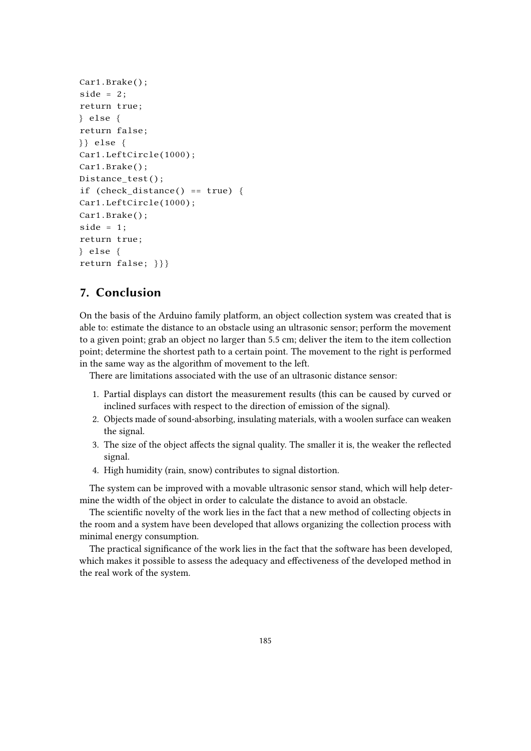```
Car1.Brake();
side = 2;return true;
} else {
return false;
}} else {
Car1.LeftCircle(1000);
Car1.Brake();
Distance_test();
if (check_distance() == true) {
Car1.LeftCircle(1000);
Car1.Brake();
side = 1;return true;
} else {
return false; }}}
```
### **7. Conclusion**

On the basis of the Arduino family platform, an object collection system was created that is able to: estimate the distance to an obstacle using an ultrasonic sensor; perform the movement to a given point; grab an object no larger than 5.5 cm; deliver the item to the item collection point; determine the shortest path to a certain point. The movement to the right is performed in the same way as the algorithm of movement to the left.

There are limitations associated with the use of an ultrasonic distance sensor:

- 1. Partial displays can distort the measurement results (this can be caused by curved or inclined surfaces with respect to the direction of emission of the signal).
- 2. Objects made of sound-absorbing, insulating materials, with a woolen surface can weaken the signal.
- 3. The size of the object affects the signal quality. The smaller it is, the weaker the reflected signal.
- 4. High humidity (rain, snow) contributes to signal distortion.

The system can be improved with a movable ultrasonic sensor stand, which will help determine the width of the object in order to calculate the distance to avoid an obstacle.

The scientific novelty of the work lies in the fact that a new method of collecting objects in the room and a system have been developed that allows organizing the collection process with minimal energy consumption.

The practical significance of the work lies in the fact that the software has been developed, which makes it possible to assess the adequacy and effectiveness of the developed method in the real work of the system.